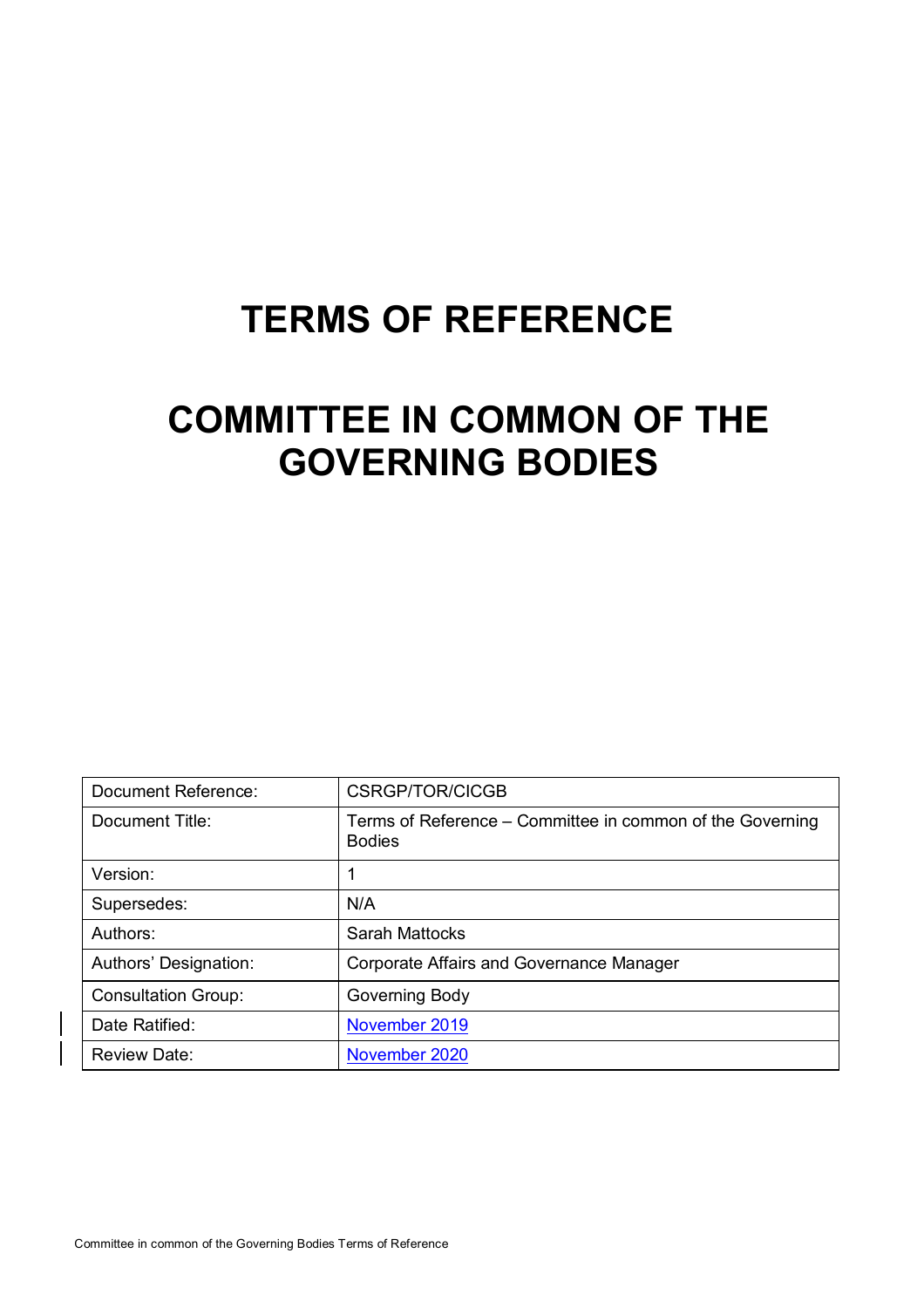# **TERMS OF REFERENCE**

# **COMMITTEE IN COMMON OF THE GOVERNING BODIES**

| <b>Document Reference:</b> | <b>CSRGP/TOR/CICGB</b>                                                     |  |
|----------------------------|----------------------------------------------------------------------------|--|
| Document Title:            | Terms of Reference – Committee in common of the Governing<br><b>Bodies</b> |  |
| Version:                   | 1                                                                          |  |
| Supersedes:                | N/A                                                                        |  |
| Authors:                   | Sarah Mattocks                                                             |  |
| Authors' Designation:      | <b>Corporate Affairs and Governance Manager</b>                            |  |
| <b>Consultation Group:</b> | Governing Body                                                             |  |
| Date Ratified:             | November 2019                                                              |  |
| <b>Review Date:</b>        | November 2020                                                              |  |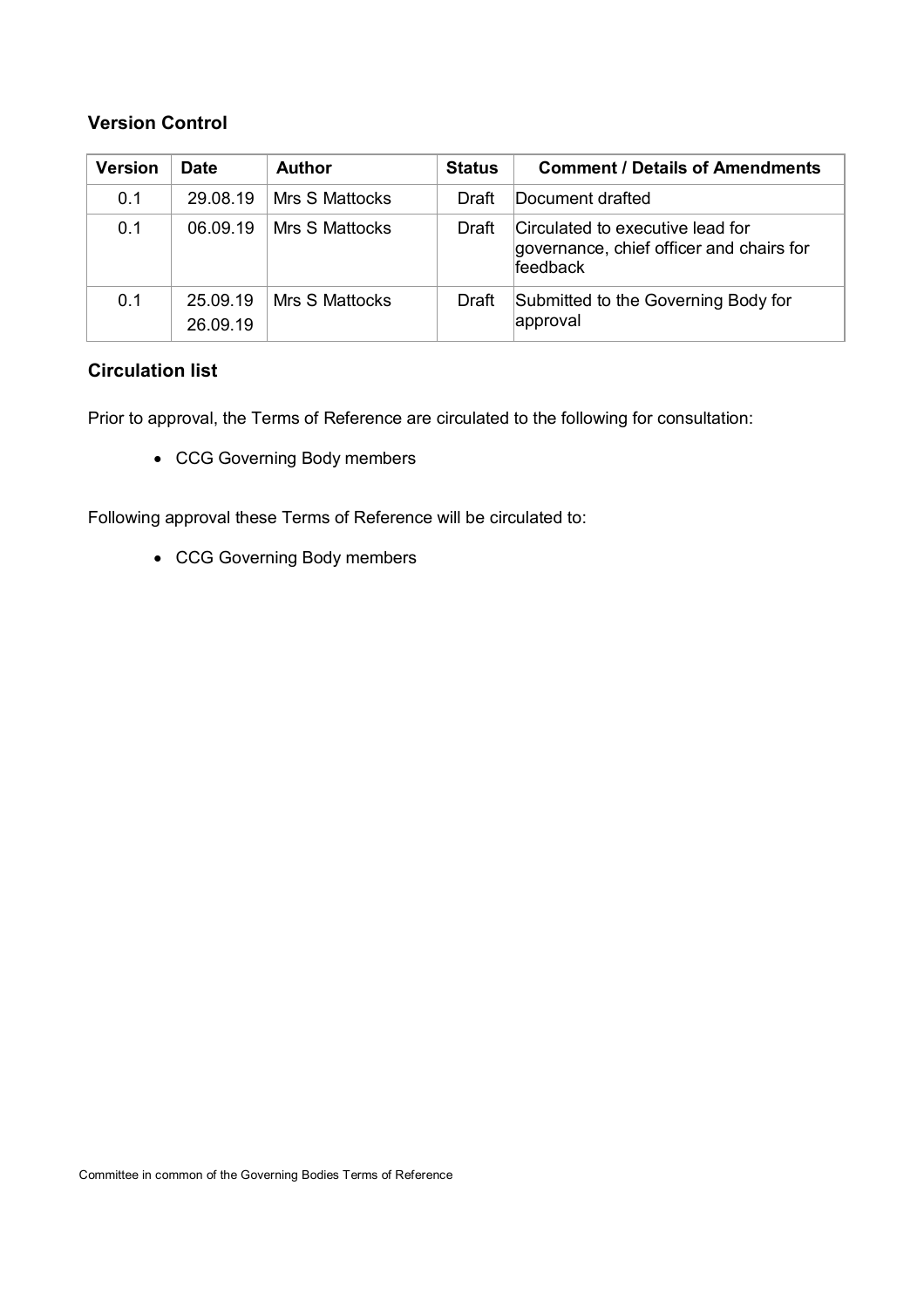# **Version Control**

| <b>Version</b> | <b>Date</b>          | <b>Author</b>         | <b>Status</b> | <b>Comment / Details of Amendments</b>                                                   |
|----------------|----------------------|-----------------------|---------------|------------------------------------------------------------------------------------------|
| 0.1            | 29.08.19             | Mrs S Mattocks        | Draft         | Document drafted                                                                         |
| 0.1            | 06.09.19             | Mrs S Mattocks        | Draft         | Circulated to executive lead for<br>governance, chief officer and chairs for<br>feedback |
| 0.1            | 25.09.19<br>26.09.19 | <b>Mrs S Mattocks</b> | Draft         | Submitted to the Governing Body for<br>approval                                          |

# **Circulation list**

Prior to approval, the Terms of Reference are circulated to the following for consultation:

• CCG Governing Body members

Following approval these Terms of Reference will be circulated to:

• CCG Governing Body members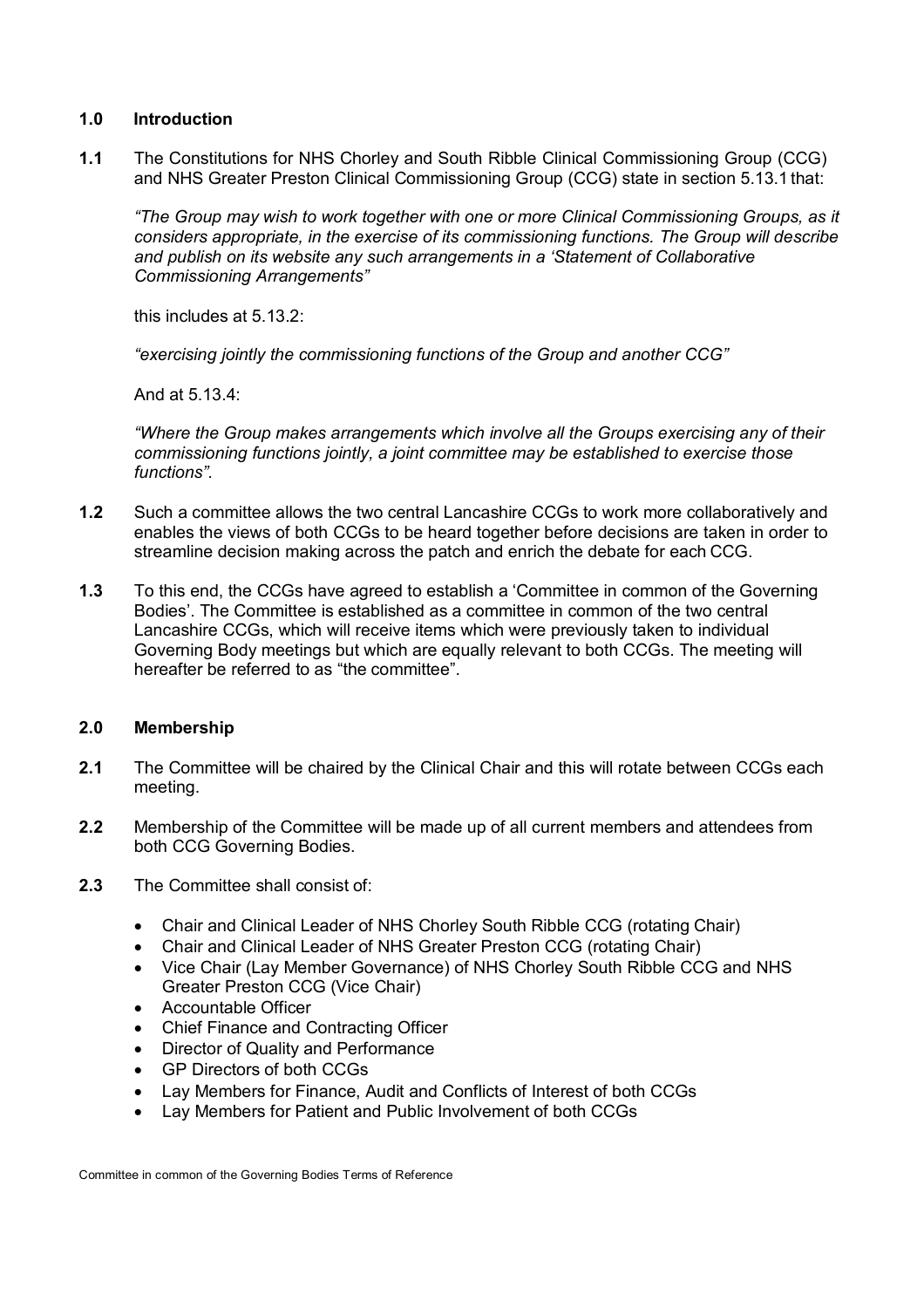### **1.0 Introduction**

**1.1** The Constitutions for NHS Chorley and South Ribble Clinical Commissioning Group (CCG) and NHS Greater Preston Clinical Commissioning Group (CCG) state in section 5.13.1 that:

*"The Group may wish to work together with one or more Clinical Commissioning Groups, as it considers appropriate, in the exercise of its commissioning functions. The Group will describe and publish on its website any such arrangements in a 'Statement of Collaborative Commissioning Arrangements"*

this includes at 5.13.2:

*"exercising jointly the commissioning functions of the Group and another CCG"*

And at 5.13.4 $\cdot$ 

*"Where the Group makes arrangements which involve all the Groups exercising any of their commissioning functions jointly, a joint committee may be established to exercise those functions".*

- **1.2** Such a committee allows the two central Lancashire CCGs to work more collaboratively and enables the views of both CCGs to be heard together before decisions are taken in order to streamline decision making across the patch and enrich the debate for each CCG.
- **1.3** To this end, the CCGs have agreed to establish a 'Committee in common of the Governing Bodies'. The Committee is established as a committee in common of the two central Lancashire CCGs, which will receive items which were previously taken to individual Governing Body meetings but which are equally relevant to both CCGs. The meeting will hereafter be referred to as "the committee".

## **2.0 Membership**

- **2.1** The Committee will be chaired by the Clinical Chair and this will rotate between CCGs each meeting.
- **2.2** Membership of the Committee will be made up of all current members and attendees from both CCG Governing Bodies.
- **2.3** The Committee shall consist of:
	- Chair and Clinical Leader of NHS Chorley South Ribble CCG (rotating Chair)
	- Chair and Clinical Leader of NHS Greater Preston CCG (rotating Chair)
	- Vice Chair (Lay Member Governance) of NHS Chorley South Ribble CCG and NHS Greater Preston CCG (Vice Chair)
	- Accountable Officer
	- Chief Finance and Contracting Officer
	- Director of Quality and Performance
	- GP Directors of both CCGs
	- Lay Members for Finance, Audit and Conflicts of Interest of both CCGs
	- Lay Members for Patient and Public Involvement of both CCGs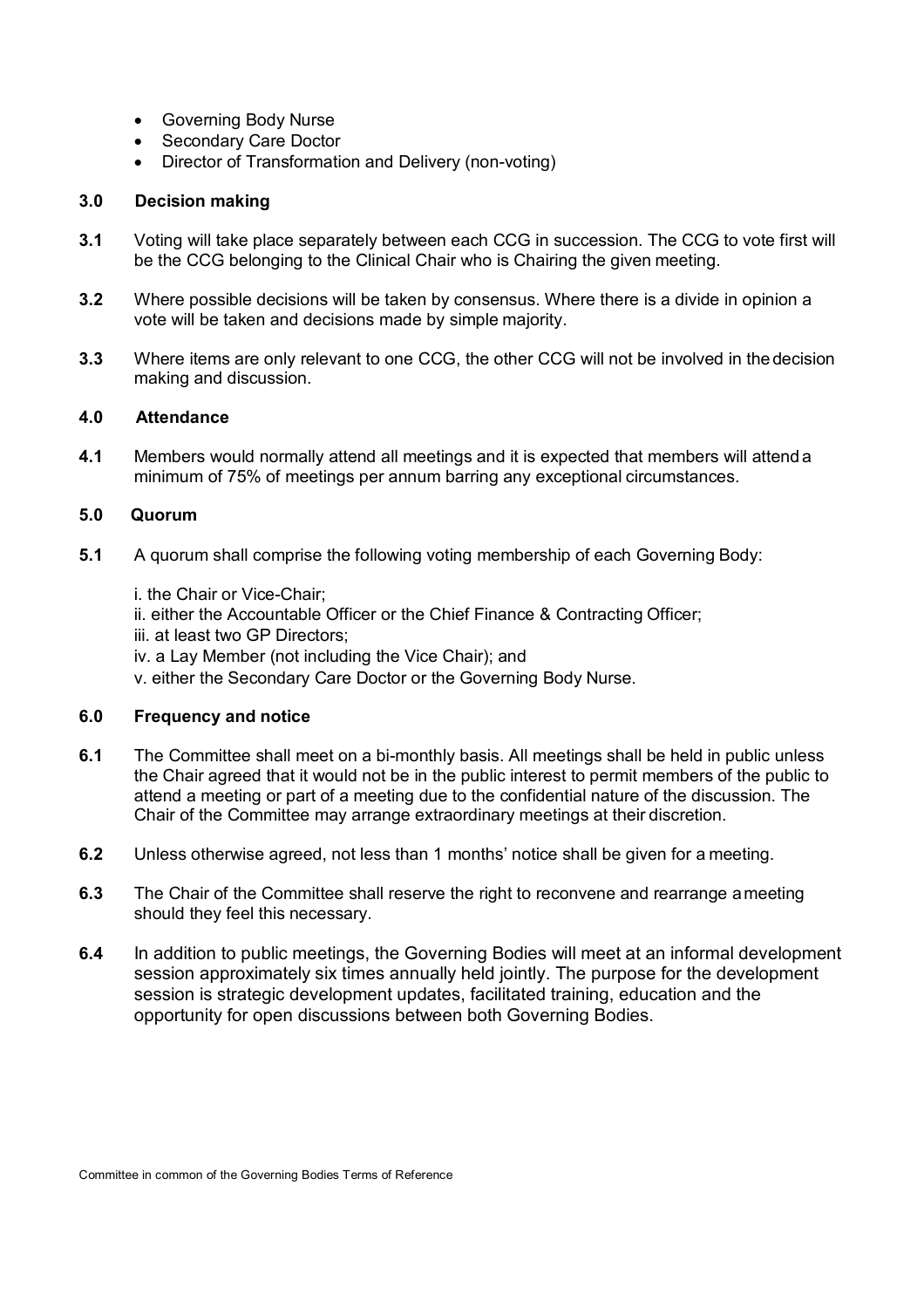- Governing Body Nurse
- Secondary Care Doctor
- Director of Transformation and Delivery (non-voting)

## **3.0 Decision making**

- **3.1** Voting will take place separately between each CCG in succession. The CCG to vote first will be the CCG belonging to the Clinical Chair who is Chairing the given meeting.
- **3.2** Where possible decisions will be taken by consensus. Where there is a divide in opinion a vote will be taken and decisions made by simple majority.
- **3.3** Where items are only relevant to one CCG, the other CCG will not be involved in the decision making and discussion.

## **4.0 Attendance**

**4.1** Members would normally attend all meetings and it is expected that members will attend a minimum of 75% of meetings per annum barring any exceptional circumstances.

## **5.0 Quorum**

- **5.1** A quorum shall comprise the following voting membership of each Governing Body:
	- i. the Chair or Vice-Chair;
	- ii. either the Accountable Officer or the Chief Finance & Contracting Officer;
	- iii. at least two GP Directors;
	- iv. a Lay Member (not including the Vice Chair); and
	- v. either the Secondary Care Doctor or the Governing Body Nurse.

## **6.0 Frequency and notice**

- **6.1** The Committee shall meet on a bi-monthly basis. All meetings shall be held in public unless the Chair agreed that it would not be in the public interest to permit members of the public to attend a meeting or part of a meeting due to the confidential nature of the discussion. The Chair of the Committee may arrange extraordinary meetings at their discretion.
- **6.2** Unless otherwise agreed, not less than 1 months' notice shall be given for a meeting.
- **6.3** The Chair of the Committee shall reserve the right to reconvene and rearrange ameeting should they feel this necessary.
- **6.4** In addition to public meetings, the Governing Bodies will meet at an informal development session approximately six times annually held jointly. The purpose for the development session is strategic development updates, facilitated training, education and the opportunity for open discussions between both Governing Bodies.